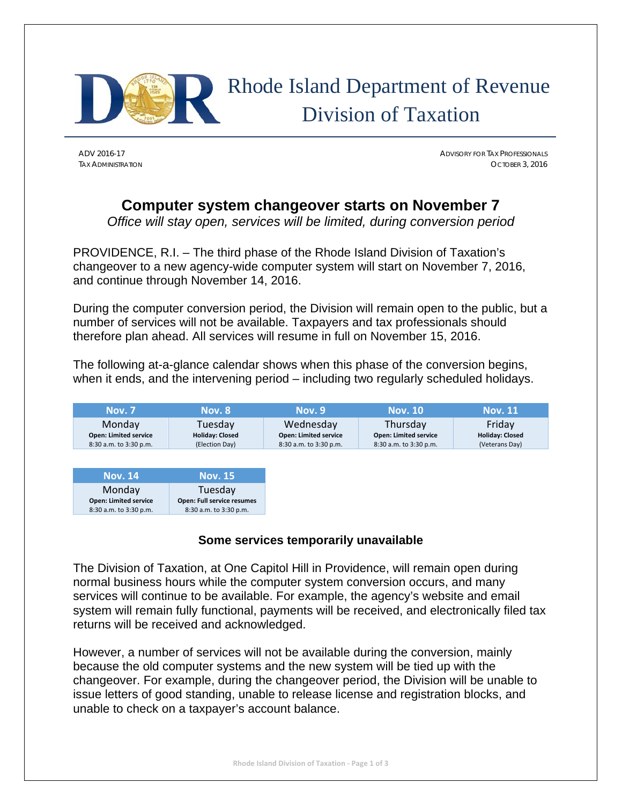

# Rhode Island Department of Revenue Division of Taxation

ADV 2016-17 ADVISORY FOR TAX PROFESSIONALS TAX ADMINISTRATION OCTOBER 3, 2016

# **Computer system changeover starts on November 7**

*Office will stay open, services will be limited, during conversion period* 

PROVIDENCE, R.I. – The third phase of the Rhode Island Division of Taxation's changeover to a new agency-wide computer system will start on November 7, 2016, and continue through November 14, 2016.

During the computer conversion period, the Division will remain open to the public, but a number of services will not be available. Taxpayers and tax professionals should therefore plan ahead. All services will resume in full on November 15, 2016.

The following at-a-glance calendar shows when this phase of the conversion begins, when it ends, and the intervening period – including two regularly scheduled holidays.

| <b>Nov. 7</b>                | <b>Nov. 8</b>              | <b>Nov. 9</b>                | <b>Nov. 10</b>               | Nov. 11                |
|------------------------------|----------------------------|------------------------------|------------------------------|------------------------|
| Monday                       | Tuesdav                    | Wednesday                    | Thursday                     | Friday                 |
| <b>Open: Limited service</b> | <b>Holiday: Closed</b>     | <b>Open: Limited service</b> | <b>Open: Limited service</b> | <b>Holiday: Closed</b> |
| 8:30 a.m. to 3:30 p.m.       | (Election Day)             | 8:30 a.m. to 3:30 p.m.       | 8:30 a.m. to 3:30 p.m.       | (Veterans Day)         |
|                              |                            |                              |                              |                        |
| <b>Nov. 14</b>               | <b>Nov. 15</b>             |                              |                              |                        |
| Monday                       | Tuesday                    |                              |                              |                        |
| <b>Open: Limited service</b> | Open: Full service resumes |                              |                              |                        |

## **Some services temporarily unavailable**

The Division of Taxation, at One Capitol Hill in Providence, will remain open during normal business hours while the computer system conversion occurs, and many services will continue to be available. For example, the agency's website and email system will remain fully functional, payments will be received, and electronically filed tax returns will be received and acknowledged.

However, a number of services will not be available during the conversion, mainly because the old computer systems and the new system will be tied up with the changeover. For example, during the changeover period, the Division will be unable to issue letters of good standing, unable to release license and registration blocks, and unable to check on a taxpayer's account balance.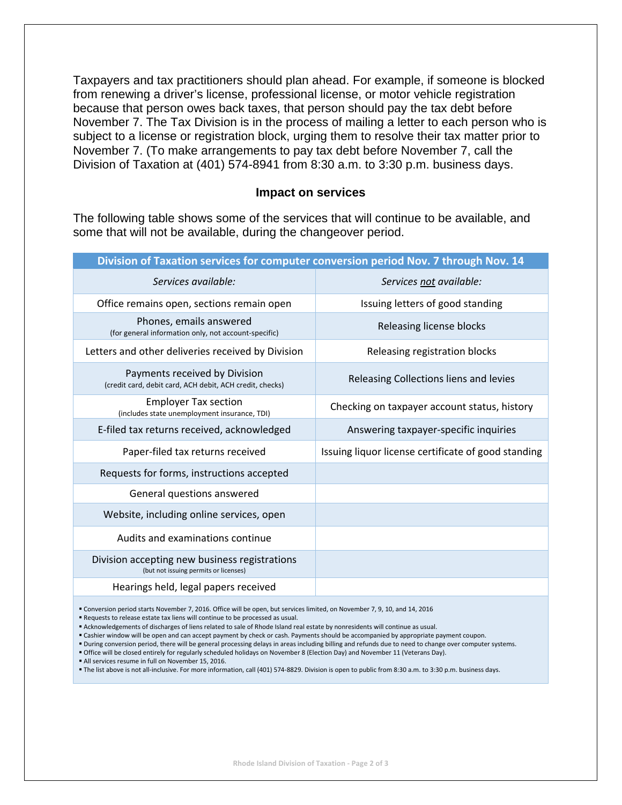Taxpayers and tax practitioners should plan ahead. For example, if someone is blocked from renewing a driver's license, professional license, or motor vehicle registration because that person owes back taxes, that person should pay the tax debt before November 7. The Tax Division is in the process of mailing a letter to each person who is subject to a license or registration block, urging them to resolve their tax matter prior to November 7. (To make arrangements to pay tax debt before November 7, call the Division of Taxation at (401) 574-8941 from 8:30 a.m. to 3:30 p.m. business days.

#### **Impact on services**

The following table shows some of the services that will continue to be available, and some that will not be available, during the changeover period.

| Division of Taxation services for computer conversion period Nov. 7 through Nov. 14 |                                                                                           |                                                     |  |
|-------------------------------------------------------------------------------------|-------------------------------------------------------------------------------------------|-----------------------------------------------------|--|
|                                                                                     | Services available:                                                                       | Services not available:                             |  |
|                                                                                     | Office remains open, sections remain open                                                 | Issuing letters of good standing                    |  |
|                                                                                     | Phones, emails answered<br>(for general information only, not account-specific)           | Releasing license blocks                            |  |
|                                                                                     | Letters and other deliveries received by Division                                         | Releasing registration blocks                       |  |
|                                                                                     | Payments received by Division<br>(credit card, debit card, ACH debit, ACH credit, checks) | Releasing Collections liens and levies              |  |
|                                                                                     | <b>Employer Tax section</b><br>(includes state unemployment insurance, TDI)               | Checking on taxpayer account status, history        |  |
|                                                                                     | E-filed tax returns received, acknowledged                                                | Answering taxpayer-specific inquiries               |  |
|                                                                                     | Paper-filed tax returns received                                                          | Issuing liquor license certificate of good standing |  |
|                                                                                     | Requests for forms, instructions accepted                                                 |                                                     |  |
|                                                                                     | General questions answered                                                                |                                                     |  |
|                                                                                     | Website, including online services, open                                                  |                                                     |  |
|                                                                                     | Audits and examinations continue                                                          |                                                     |  |
|                                                                                     | Division accepting new business registrations<br>(but not issuing permits or licenses)    |                                                     |  |
|                                                                                     | Hearings held, legal papers received                                                      |                                                     |  |
|                                                                                     |                                                                                           |                                                     |  |

Conversion period starts November 7, 2016. Office will be open, but services limited, on November 7, 9, 10, and 14, 2016

Requests to release estate tax liens will continue to be processed as usual.

**Acknowledgements of discharges of liens related to sale of Rhode Island real estate by nonresidents will continue as usual.** 

Cashier window will be open and can accept payment by check or cash. Payments should be accompanied by appropriate payment coupon.

" During conversion period, there will be general processing delays in areas including billing and refunds due to need to change over computer systems.

Office will be closed entirely for regularly scheduled holidays on November 8 (Election Day) and November 11 (Veterans Day).

All services resume in full on November 15, 2016.

The list above is not all‐inclusive. For more information, call (401) 574‐8829. Division is open to public from 8:30 a.m. to 3:30 p.m. business days.